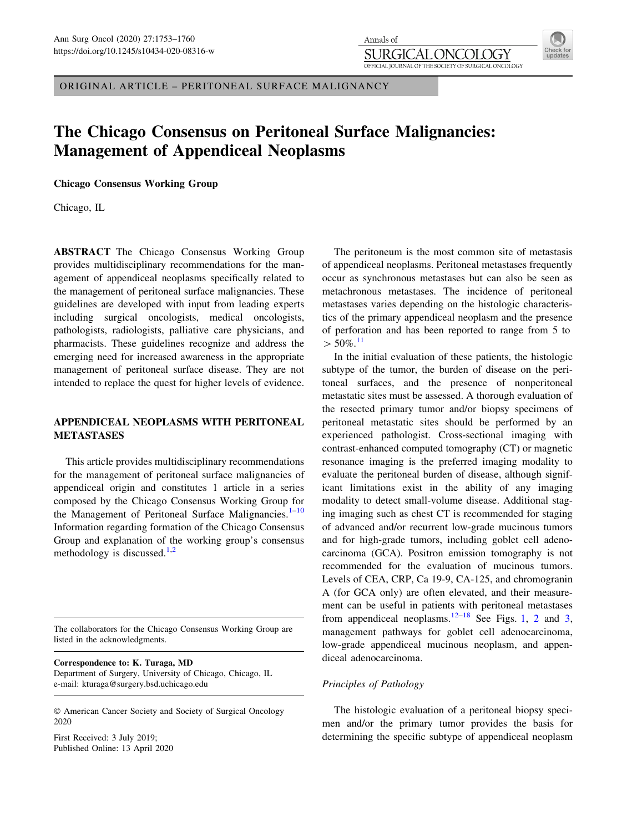ORIGINAL ARTICLE – PERITONEAL SURFACE MALIGNANCY

# The Chicago Consensus on Peritoneal Surface Malignancies: Management of Appendiceal Neoplasms

Chicago Consensus Working Group

Chicago, IL

ABSTRACT The Chicago Consensus Working Group provides multidisciplinary recommendations for the management of appendiceal neoplasms specifically related to the management of peritoneal surface malignancies. These guidelines are developed with input from leading experts including surgical oncologists, medical oncologists, pathologists, radiologists, palliative care physicians, and pharmacists. These guidelines recognize and address the emerging need for increased awareness in the appropriate management of peritoneal surface disease. They are not intended to replace the quest for higher levels of evidence.

## APPENDICEAL NEOPLASMS WITH PERITONEAL METASTASES

This article provides multidisciplinary recommendations for the management of peritoneal surface malignancies of appendiceal origin and constitutes 1 article in a series composed by the Chicago Consensus Working Group for the Management of Peritoneal Surface Malignancies. $1-10$  $1-10$ Information regarding formation of the Chicago Consensus Group and explanation of the working group's consensus methodology is discussed.<sup>[1,2](#page-5-0)</sup>

The collaborators for the Chicago Consensus Working Group are listed in the acknowledgments.

Correspondence to: K. Turaga, MD Department of Surgery, University of Chicago, Chicago, IL e-mail: kturaga@surgery.bsd.uchicago.edu

 $©$  American Cancer Society and Society of Surgical Oncology 2020

First Received: 3 July 2019; Published Online: 13 April 2020

The peritoneum is the most common site of metastasis of appendiceal neoplasms. Peritoneal metastases frequently occur as synchronous metastases but can also be seen as metachronous metastases. The incidence of peritoneal metastases varies depending on the histologic characteristics of the primary appendiceal neoplasm and the presence of perforation and has been reported to range from 5 to  $> 50\%$ <sup>[11](#page-6-0)</sup>

OFFICIAL JOURNAL OF THE SOCIETY OF SURGICAL ONCOLOGY

Annals of **JRGI** 

In the initial evaluation of these patients, the histologic subtype of the tumor, the burden of disease on the peritoneal surfaces, and the presence of nonperitoneal metastatic sites must be assessed. A thorough evaluation of the resected primary tumor and/or biopsy specimens of peritoneal metastatic sites should be performed by an experienced pathologist. Cross-sectional imaging with contrast-enhanced computed tomography (CT) or magnetic resonance imaging is the preferred imaging modality to evaluate the peritoneal burden of disease, although significant limitations exist in the ability of any imaging modality to detect small-volume disease. Additional staging imaging such as chest CT is recommended for staging of advanced and/or recurrent low-grade mucinous tumors and for high-grade tumors, including goblet cell adenocarcinoma (GCA). Positron emission tomography is not recommended for the evaluation of mucinous tumors. Levels of CEA, CRP, Ca 19-9, CA-125, and chromogranin A (for GCA only) are often elevated, and their measurement can be useful in patients with peritoneal metastases from appendiceal neoplasms.<sup>[12–18](#page-6-0)</sup> See Figs. [1,](#page-1-0) [2](#page-1-0) and [3,](#page-2-0) management pathways for goblet cell adenocarcinoma, low-grade appendiceal mucinous neoplasm, and appendiceal adenocarcinoma.

### Principles of Pathology

The histologic evaluation of a peritoneal biopsy specimen and/or the primary tumor provides the basis for determining the specific subtype of appendiceal neoplasm



 $\chi_T$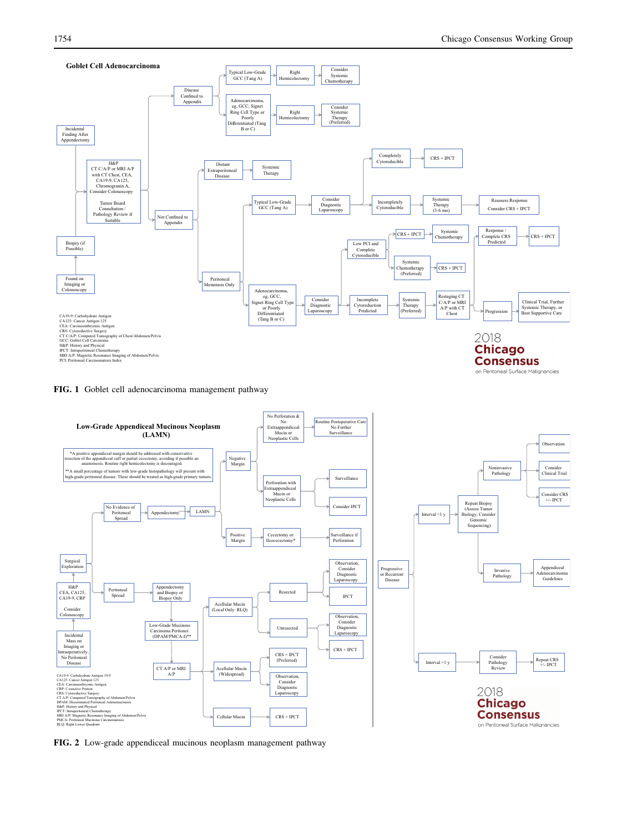<span id="page-1-0"></span>

FIG. 1 Goblet cell adenocarcinoma management pathway



FIG. 2 Low-grade appendiceal mucinous neoplasm management pathway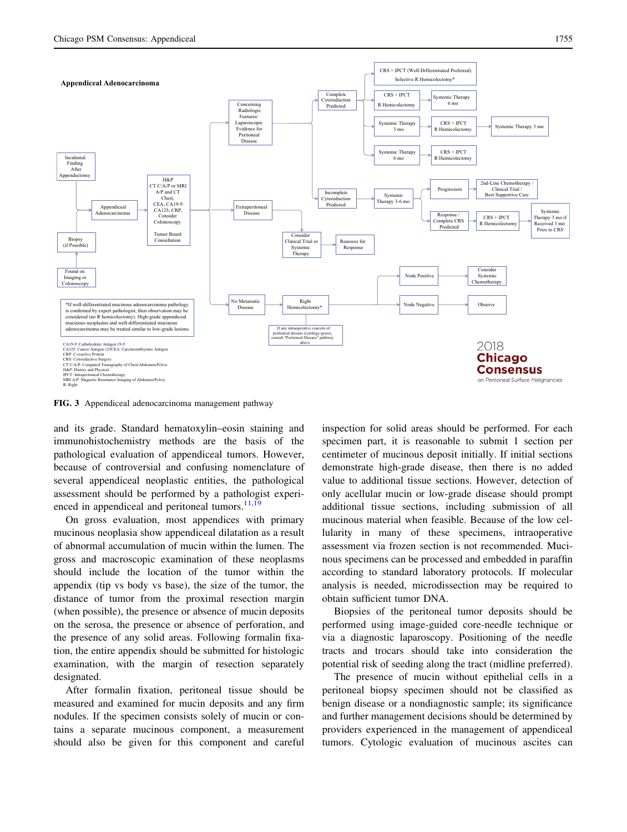

<span id="page-2-0"></span>

FIG. 3 Appendiceal adenocarcinoma management pathway

and its grade. Standard hematoxylin–eosin staining and immunohistochemistry methods are the basis of the pathological evaluation of appendiceal tumors. However, because of controversial and confusing nomenclature of several appendiceal neoplastic entities, the pathological assessment should be performed by a pathologist experienced in appendiceal and peritoneal tumors. $11,19$  $11,19$  $11,19$ 

On gross evaluation, most appendices with primary mucinous neoplasia show appendiceal dilatation as a result of abnormal accumulation of mucin within the lumen. The gross and macroscopic examination of these neoplasms should include the location of the tumor within the appendix (tip vs body vs base), the size of the tumor, the distance of tumor from the proximal resection margin (when possible), the presence or absence of mucin deposits on the serosa, the presence or absence of perforation, and the presence of any solid areas. Following formalin fixation, the entire appendix should be submitted for histologic examination, with the margin of resection separately designated.

After formalin fixation, peritoneal tissue should be measured and examined for mucin deposits and any firm nodules. If the specimen consists solely of mucin or contains a separate mucinous component, a measurement should also be given for this component and careful

inspection for solid areas should be performed. For each specimen part, it is reasonable to submit 1 section per centimeter of mucinous deposit initially. If initial sections demonstrate high-grade disease, then there is no added value to additional tissue sections. However, detection of only acellular mucin or low-grade disease should prompt additional tissue sections, including submission of all mucinous material when feasible. Because of the low cellularity in many of these specimens, intraoperative assessment via frozen section is not recommended. Mucinous specimens can be processed and embedded in paraffin according to standard laboratory protocols. If molecular analysis is needed, microdissection may be required to obtain sufficient tumor DNA.

Biopsies of the peritoneal tumor deposits should be performed using image-guided core-needle technique or via a diagnostic laparoscopy. Positioning of the needle tracts and trocars should take into consideration the potential risk of seeding along the tract (midline preferred).

The presence of mucin without epithelial cells in a peritoneal biopsy specimen should not be classified as benign disease or a nondiagnostic sample; its significance and further management decisions should be determined by providers experienced in the management of appendiceal tumors. Cytologic evaluation of mucinous ascites can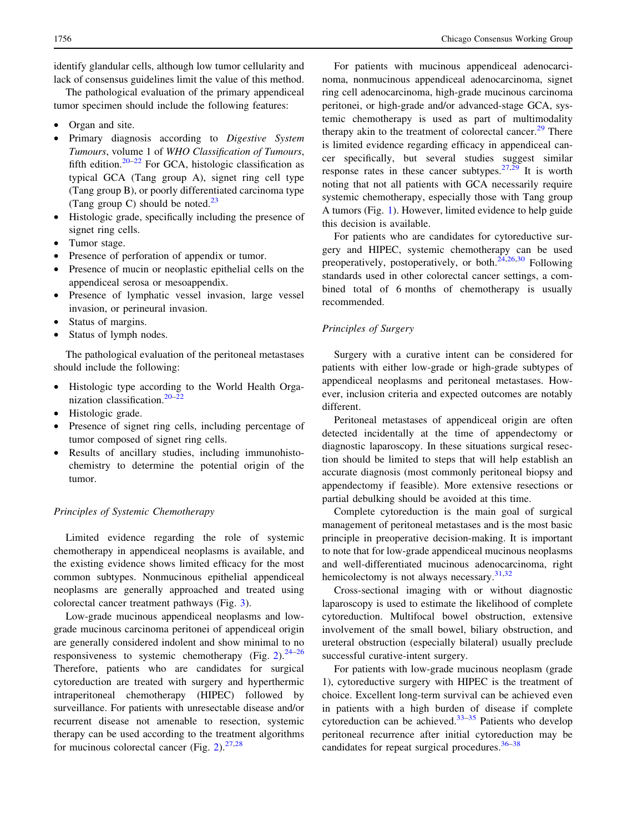identify glandular cells, although low tumor cellularity and lack of consensus guidelines limit the value of this method.

The pathological evaluation of the primary appendiceal tumor specimen should include the following features:

- Organ and site.
- Primary diagnosis according to Digestive System Tumours, volume 1 of WHO Classification of Tumours, fifth edition.[20–22](#page-6-0) For GCA, histologic classification as typical GCA (Tang group A), signet ring cell type (Tang group B), or poorly differentiated carcinoma type (Tang group C) should be noted. $^{23}$  $^{23}$  $^{23}$
- Histologic grade, specifically including the presence of signet ring cells.
- Tumor stage.
- Presence of perforation of appendix or tumor.
- Presence of mucin or neoplastic epithelial cells on the appendiceal serosa or mesoappendix.
- Presence of lymphatic vessel invasion, large vessel invasion, or perineural invasion.
- Status of margins.
- Status of lymph nodes.

The pathological evaluation of the peritoneal metastases should include the following:

- Histologic type according to the World Health Organization classification[.20–22](#page-6-0)
- Histologic grade.
- Presence of signet ring cells, including percentage of tumor composed of signet ring cells.
- Results of ancillary studies, including immunohistochemistry to determine the potential origin of the tumor.

#### Principles of Systemic Chemotherapy

Limited evidence regarding the role of systemic chemotherapy in appendiceal neoplasms is available, and the existing evidence shows limited efficacy for the most common subtypes. Nonmucinous epithelial appendiceal neoplasms are generally approached and treated using colorectal cancer treatment pathways (Fig. [3](#page-2-0)).

Low-grade mucinous appendiceal neoplasms and lowgrade mucinous carcinoma peritonei of appendiceal origin are generally considered indolent and show minimal to no responsiveness to systemic chemotherapy (Fig. [2\)](#page-1-0).  $24-26$ Therefore, patients who are candidates for surgical cytoreduction are treated with surgery and hyperthermic intraperitoneal chemotherapy (HIPEC) followed by surveillance. For patients with unresectable disease and/or recurrent disease not amenable to resection, systemic therapy can be used according to the treatment algorithms for mucinous colorectal cancer (Fig. [2](#page-1-0)). $27,28$ 

noma, nonmucinous appendiceal adenocarcinoma, signet ring cell adenocarcinoma, high-grade mucinous carcinoma peritonei, or high-grade and/or advanced-stage GCA, systemic chemotherapy is used as part of multimodality therapy akin to the treatment of colorectal cancer. $29$  There is limited evidence regarding efficacy in appendiceal cancer specifically, but several studies suggest similar response rates in these cancer subtypes. $27,29$  $27,29$  $27,29$  It is worth noting that not all patients with GCA necessarily require systemic chemotherapy, especially those with Tang group A tumors (Fig. [1](#page-1-0)). However, limited evidence to help guide this decision is available.

For patients who are candidates for cytoreductive surgery and HIPEC, systemic chemotherapy can be used preoperatively, postoperatively, or both. $24,26,30$  $24,26,30$  $24,26,30$  Following standards used in other colorectal cancer settings, a combined total of 6 months of chemotherapy is usually recommended.

## Principles of Surgery

Surgery with a curative intent can be considered for patients with either low-grade or high-grade subtypes of appendiceal neoplasms and peritoneal metastases. However, inclusion criteria and expected outcomes are notably different.

Peritoneal metastases of appendiceal origin are often detected incidentally at the time of appendectomy or diagnostic laparoscopy. In these situations surgical resection should be limited to steps that will help establish an accurate diagnosis (most commonly peritoneal biopsy and appendectomy if feasible). More extensive resections or partial debulking should be avoided at this time.

Complete cytoreduction is the main goal of surgical management of peritoneal metastases and is the most basic principle in preoperative decision-making. It is important to note that for low-grade appendiceal mucinous neoplasms and well-differentiated mucinous adenocarcinoma, right hemicolectomy is not always necessary.  $31,32$ 

Cross-sectional imaging with or without diagnostic laparoscopy is used to estimate the likelihood of complete cytoreduction. Multifocal bowel obstruction, extensive involvement of the small bowel, biliary obstruction, and ureteral obstruction (especially bilateral) usually preclude successful curative-intent surgery.

For patients with low-grade mucinous neoplasm (grade 1), cytoreductive surgery with HIPEC is the treatment of choice. Excellent long-term survival can be achieved even in patients with a high burden of disease if complete cytoreduction can be achieved. $33-35$  Patients who develop peritoneal recurrence after initial cytoreduction may be candidates for repeat surgical procedures.<sup>[36–38](#page-7-0)</sup>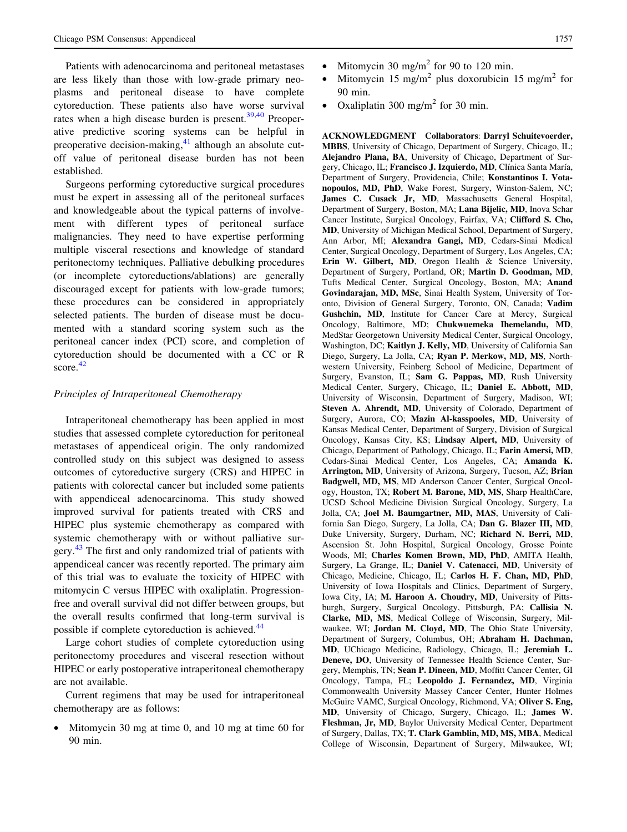Patients with adenocarcinoma and peritoneal metastases are less likely than those with low-grade primary neoplasms and peritoneal disease to have complete cytoreduction. These patients also have worse survival rates when a high disease burden is present. $39,40$  Preoperative predictive scoring systems can be helpful in preoperative decision-making, $41$  although an absolute cutoff value of peritoneal disease burden has not been established.

Surgeons performing cytoreductive surgical procedures must be expert in assessing all of the peritoneal surfaces and knowledgeable about the typical patterns of involvement with different types of peritoneal surface malignancies. They need to have expertise performing multiple visceral resections and knowledge of standard peritonectomy techniques. Palliative debulking procedures (or incomplete cytoreductions/ablations) are generally discouraged except for patients with low-grade tumors; these procedures can be considered in appropriately selected patients. The burden of disease must be documented with a standard scoring system such as the peritoneal cancer index (PCI) score, and completion of cytoreduction should be documented with a CC or R score.<sup>[42](#page-7-0)</sup>

#### Principles of Intraperitoneal Chemotherapy

Intraperitoneal chemotherapy has been applied in most studies that assessed complete cytoreduction for peritoneal metastases of appendiceal origin. The only randomized controlled study on this subject was designed to assess outcomes of cytoreductive surgery (CRS) and HIPEC in patients with colorectal cancer but included some patients with appendiceal adenocarcinoma. This study showed improved survival for patients treated with CRS and HIPEC plus systemic chemotherapy as compared with systemic chemotherapy with or without palliative sur-gery.<sup>[43](#page-7-0)</sup> The first and only randomized trial of patients with appendiceal cancer was recently reported. The primary aim of this trial was to evaluate the toxicity of HIPEC with mitomycin C versus HIPEC with oxaliplatin. Progressionfree and overall survival did not differ between groups, but the overall results confirmed that long-term survival is possible if complete cytoreduction is achieved.<sup>[44](#page-7-0)</sup>

Large cohort studies of complete cytoreduction using peritonectomy procedures and visceral resection without HIPEC or early postoperative intraperitoneal chemotherapy are not available.

Current regimens that may be used for intraperitoneal chemotherapy are as follows:

• Mitomycin 30 mg at time 0, and 10 mg at time 60 for 90 min.

- Mitomycin 30 mg/m<sup>2</sup> for 90 to 120 min.
- Mitomycin 15 mg/m<sup>2</sup> plus doxorubicin 15 mg/m<sup>2</sup> for 90 min.
- Oxaliplatin 300 mg/m<sup>2</sup> for 30 min.

ACKNOWLEDGMENT Collaborators: Darryl Schuitevoerder, MBBS, University of Chicago, Department of Surgery, Chicago, IL; Alejandro Plana, BA, University of Chicago, Department of Surgery, Chicago, IL; Francisco J. Izquierdo, MD, Clínica Santa María, Department of Surgery, Providencia, Chile; Konstantinos I. Votanopoulos, MD, PhD, Wake Forest, Surgery, Winston-Salem, NC; James C. Cusack Jr, MD, Massachusetts General Hospital, Department of Surgery, Boston, MA; Lana Bijelic, MD, Inova Schar Cancer Institute, Surgical Oncology, Fairfax, VA; Clifford S. Cho, MD, University of Michigan Medical School, Department of Surgery, Ann Arbor, MI; Alexandra Gangi, MD, Cedars-Sinai Medical Center, Surgical Oncology, Department of Surgery, Los Angeles, CA; Erin W. Gilbert, MD, Oregon Health & Science University, Department of Surgery, Portland, OR; Martin D. Goodman, MD, Tufts Medical Center, Surgical Oncology, Boston, MA; Anand Govindarajan, MD, MSc, Sinai Health System, University of Toronto, Division of General Surgery, Toronto, ON, Canada; Vadim Gushchin, MD, Institute for Cancer Care at Mercy, Surgical Oncology, Baltimore, MD; Chukwuemeka Ihemelandu, MD, MedStar Georgetown University Medical Center, Surgical Oncology, Washington, DC; Kaitlyn J. Kelly, MD, University of California San Diego, Surgery, La Jolla, CA; Ryan P. Merkow, MD, MS, Northwestern University, Feinberg School of Medicine, Department of Surgery, Evanston, IL; Sam G. Pappas, MD, Rush University Medical Center, Surgery, Chicago, IL; Daniel E. Abbott, MD, University of Wisconsin, Department of Surgery, Madison, WI; Steven A. Ahrendt, MD, University of Colorado, Department of Surgery, Aurora, CO; Mazin Al-kasspooles, MD, University of Kansas Medical Center, Department of Surgery, Division of Surgical Oncology, Kansas City, KS; Lindsay Alpert, MD, University of Chicago, Department of Pathology, Chicago, IL; Farin Amersi, MD, Cedars-Sinai Medical Center, Los Angeles, CA; Amanda K. Arrington, MD, University of Arizona, Surgery, Tucson, AZ; Brian Badgwell, MD, MS, MD Anderson Cancer Center, Surgical Oncology, Houston, TX; Robert M. Barone, MD, MS, Sharp HealthCare, UCSD School Medicine Division Surgical Oncology, Surgery, La Jolla, CA; Joel M. Baumgartner, MD, MAS, University of California San Diego, Surgery, La Jolla, CA; Dan G. Blazer III, MD, Duke University, Surgery, Durham, NC; Richard N. Berri, MD, Ascension St. John Hospital, Surgical Oncology, Grosse Pointe Woods, MI; Charles Komen Brown, MD, PhD, AMITA Health, Surgery, La Grange, IL; Daniel V. Catenacci, MD, University of Chicago, Medicine, Chicago, IL; Carlos H. F. Chan, MD, PhD, University of Iowa Hospitals and Clinics, Department of Surgery, Iowa City, IA; M. Haroon A. Choudry, MD, University of Pittsburgh, Surgery, Surgical Oncology, Pittsburgh, PA; Callisia N. Clarke, MD, MS, Medical College of Wisconsin, Surgery, Milwaukee, WI; Jordan M. Cloyd, MD, The Ohio State University, Department of Surgery, Columbus, OH; Abraham H. Dachman, MD, UChicago Medicine, Radiology, Chicago, IL; Jeremiah L. Deneve, DO, University of Tennessee Health Science Center, Surgery, Memphis, TN; Sean P. Dineen, MD, Moffitt Cancer Center, GI Oncology, Tampa, FL; Leopoldo J. Fernandez, MD, Virginia Commonwealth University Massey Cancer Center, Hunter Holmes McGuire VAMC, Surgical Oncology, Richmond, VA; Oliver S. Eng, MD, University of Chicago, Surgery, Chicago, IL; James W. Fleshman, Jr, MD, Baylor University Medical Center, Department of Surgery, Dallas, TX; T. Clark Gamblin, MD, MS, MBA, Medical College of Wisconsin, Department of Surgery, Milwaukee, WI;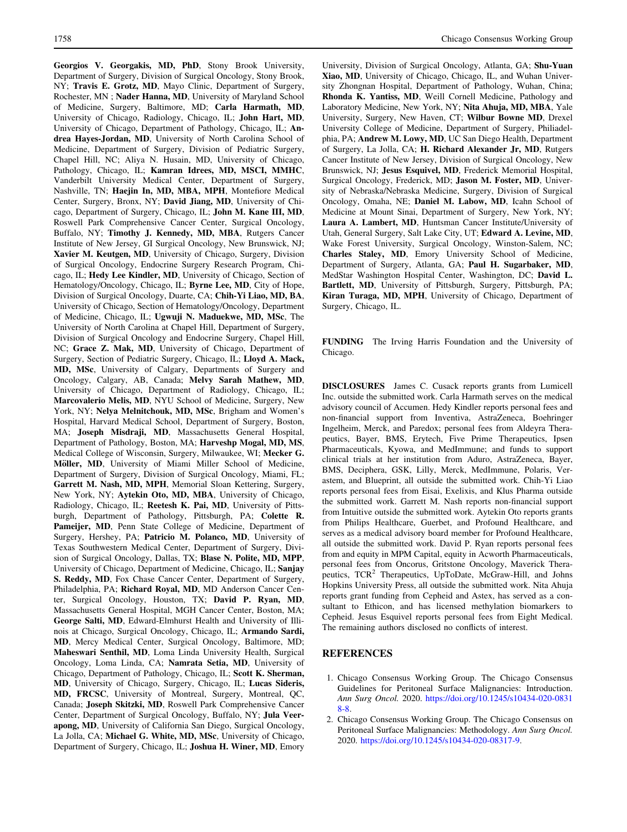<span id="page-5-0"></span>Georgios V. Georgakis, MD, PhD, Stony Brook University, Department of Surgery, Division of Surgical Oncology, Stony Brook, NY; Travis E. Grotz, MD, Mayo Clinic, Department of Surgery, Rochester, MN ; Nader Hanna, MD, University of Maryland School of Medicine, Surgery, Baltimore, MD; Carla Harmath, MD, University of Chicago, Radiology, Chicago, IL; John Hart, MD, University of Chicago, Department of Pathology, Chicago, IL; Andrea Hayes-Jordan, MD, University of North Carolina School of Medicine, Department of Surgery, Division of Pediatric Surgery, Chapel Hill, NC; Aliya N. Husain, MD, University of Chicago, Pathology, Chicago, IL: Kamran Idrees, MD, MSCI, MMHC, Vanderbilt University Medical Center, Department of Surgery, Nashville, TN; Haejin In, MD, MBA, MPH, Montefiore Medical Center, Surgery, Bronx, NY; David Jiang, MD, University of Chicago, Department of Surgery, Chicago, IL; John M. Kane III, MD, Roswell Park Comprehensive Cancer Center, Surgical Oncology, Buffalo, NY; Timothy J. Kennedy, MD, MBA, Rutgers Cancer Institute of New Jersey, GI Surgical Oncology, New Brunswick, NJ; Xavier M. Keutgen, MD, University of Chicago, Surgery, Division of Surgical Oncology, Endocrine Surgery Research Program, Chicago, IL; Hedy Lee Kindler, MD, University of Chicago, Section of Hematology/Oncology, Chicago, IL; Byrne Lee, MD, City of Hope, Division of Surgical Oncology, Duarte, CA; Chih-Yi Liao, MD, BA, University of Chicago, Section of Hematology/Oncology, Department of Medicine, Chicago, IL; Ugwuji N. Maduekwe, MD, MSc, The University of North Carolina at Chapel Hill, Department of Surgery, Division of Surgical Oncology and Endocrine Surgery, Chapel Hill, NC; Grace Z. Mak, MD, University of Chicago, Department of Surgery, Section of Pediatric Surgery, Chicago, IL; Lloyd A. Mack, MD, MSc, University of Calgary, Departments of Surgery and Oncology, Calgary, AB, Canada; Melvy Sarah Mathew, MD, University of Chicago, Department of Radiology, Chicago, IL; Marcovalerio Melis, MD, NYU School of Medicine, Surgery, New York, NY; Nelya Melnitchouk, MD, MSc, Brigham and Women's Hospital, Harvard Medical School, Department of Surgery, Boston, MA; Joseph Misdraji, MD, Massachusetts General Hospital, Department of Pathology, Boston, MA; Harveshp Mogal, MD, MS, Medical College of Wisconsin, Surgery, Milwaukee, WI; Mecker G. Möller, MD, University of Miami Miller School of Medicine, Department of Surgery, Division of Surgical Oncology, Miami, FL; Garrett M. Nash, MD, MPH, Memorial Sloan Kettering, Surgery, New York, NY; Aytekin Oto, MD, MBA, University of Chicago, Radiology, Chicago, IL; Reetesh K. Pai, MD, University of Pittsburgh, Department of Pathology, Pittsburgh, PA; Colette R. Pameijer, MD, Penn State College of Medicine, Department of Surgery, Hershey, PA; Patricio M. Polanco, MD, University of Texas Southwestern Medical Center, Department of Surgery, Division of Surgical Oncology, Dallas, TX; Blase N. Polite, MD, MPP, University of Chicago, Department of Medicine, Chicago, IL; Sanjay S. Reddy, MD, Fox Chase Cancer Center, Department of Surgery, Philadelphia, PA; Richard Royal, MD, MD Anderson Cancer Center, Surgical Oncology, Houston, TX; David P. Ryan, MD, Massachusetts General Hospital, MGH Cancer Center, Boston, MA; George Salti, MD, Edward-Elmhurst Health and University of Illinois at Chicago, Surgical Oncology, Chicago, IL; Armando Sardi, MD, Mercy Medical Center, Surgical Oncology, Baltimore, MD; Maheswari Senthil, MD, Loma Linda University Health, Surgical Oncology, Loma Linda, CA; Namrata Setia, MD, University of Chicago, Department of Pathology, Chicago, IL; Scott K. Sherman, MD, University of Chicago, Surgery, Chicago, IL; Lucas Sideris, MD, FRCSC, University of Montreal, Surgery, Montreal, QC, Canada; Joseph Skitzki, MD, Roswell Park Comprehensive Cancer Center, Department of Surgical Oncology, Buffalo, NY; Jula Veerapong, MD, University of California San Diego, Surgical Oncology, La Jolla, CA; Michael G. White, MD, MSc, University of Chicago, Department of Surgery, Chicago, IL; Joshua H. Winer, MD, Emory

University, Division of Surgical Oncology, Atlanta, GA; Shu-Yuan Xiao, MD, University of Chicago, Chicago, IL, and Wuhan University Zhongnan Hospital, Department of Pathology, Wuhan, China; Rhonda K. Yantiss, MD, Weill Cornell Medicine, Pathology and Laboratory Medicine, New York, NY; Nita Ahuja, MD, MBA, Yale University, Surgery, New Haven, CT; Wilbur Bowne MD, Drexel University College of Medicine, Department of Surgery, Philiadelphia, PA; Andrew M. Lowy, MD, UC San Diego Health, Department of Surgery, La Jolla, CA; H. Richard Alexander Jr, MD, Rutgers Cancer Institute of New Jersey, Division of Surgical Oncology, New Brunswick, NJ; Jesus Esquivel, MD, Frederick Memorial Hospital, Surgical Oncology, Frederick, MD; Jason M. Foster, MD, University of Nebraska/Nebraska Medicine, Surgery, Division of Surgical Oncology, Omaha, NE; Daniel M. Labow, MD, Icahn School of Medicine at Mount Sinai, Department of Surgery, New York, NY; Laura A. Lambert, MD, Huntsman Cancer Institute/University of Utah, General Surgery, Salt Lake City, UT; Edward A. Levine, MD, Wake Forest University, Surgical Oncology, Winston-Salem, NC; Charles Staley, MD, Emory University School of Medicine, Department of Surgery, Atlanta, GA; Paul H. Sugarbaker, MD, MedStar Washington Hospital Center, Washington, DC; David L. Bartlett, MD, University of Pittsburgh, Surgery, Pittsburgh, PA; Kiran Turaga, MD, MPH, University of Chicago, Department of Surgery, Chicago, IL.

FUNDING The Irving Harris Foundation and the University of Chicago.

DISCLOSURES James C. Cusack reports grants from Lumicell Inc. outside the submitted work. Carla Harmath serves on the medical advisory council of Accumen. Hedy Kindler reports personal fees and non-financial support from Inventiva, AstraZeneca, Boehringer Ingelheim, Merck, and Paredox; personal fees from Aldeyra Therapeutics, Bayer, BMS, Erytech, Five Prime Therapeutics, Ipsen Pharmaceuticals, Kyowa, and MedImmune; and funds to support clinical trials at her institution from Aduro, AstraZeneca, Bayer, BMS, Deciphera, GSK, Lilly, Merck, MedImmune, Polaris, Verastem, and Blueprint, all outside the submitted work. Chih-Yi Liao reports personal fees from Eisai, Exelixis, and Klus Pharma outside the submitted work. Garrett M. Nash reports non-financial support from Intuitive outside the submitted work. Aytekin Oto reports grants from Philips Healthcare, Guerbet, and Profound Healthcare, and serves as a medical advisory board member for Profound Healthcare, all outside the submitted work. David P. Ryan reports personal fees from and equity in MPM Capital, equity in Acworth Pharmaceuticals, personal fees from Oncorus, Gritstone Oncology, Maverick Therapeutics, TCR<sup>2</sup> Therapeutics, UpToDate, McGraw-Hill, and Johns Hopkins University Press, all outside the submitted work. Nita Ahuja reports grant funding from Cepheid and Astex, has served as a consultant to Ethicon, and has licensed methylation biomarkers to Cepheid. Jesus Esquivel reports personal fees from Eight Medical. The remaining authors disclosed no conflicts of interest.

#### REFERENCES

- 1. Chicago Consensus Working Group. The Chicago Consensus Guidelines for Peritoneal Surface Malignancies: Introduction. Ann Surg Oncol. 2020. [https://doi.org/10.1245/s10434-020-0831](https://doi.org/10.1245/s10434-020-08318-8) [8-8](https://doi.org/10.1245/s10434-020-08318-8).
- 2. Chicago Consensus Working Group. The Chicago Consensus on Peritoneal Surface Malignancies: Methodology. Ann Surg Oncol. 2020. [https://doi.org/10.1245/s10434-020-08317-9.](https://doi.org/10.1245/s10434-020-08317-9)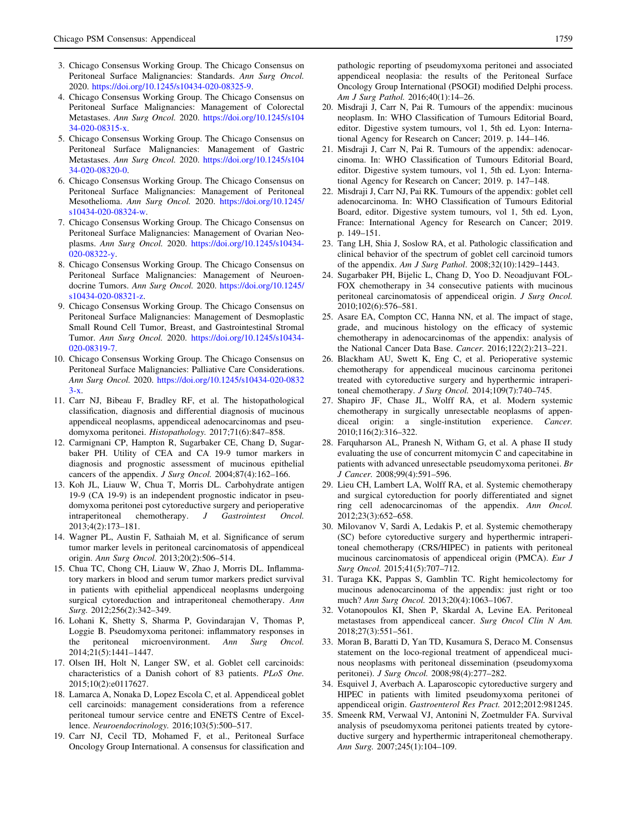- <span id="page-6-0"></span>3. Chicago Consensus Working Group. The Chicago Consensus on Peritoneal Surface Malignancies: Standards. Ann Surg Oncol. 2020. [https://doi.org/10.1245/s10434-020-08325-9.](https://doi.org/10.1245/s10434-020-08325-9)
- 4. Chicago Consensus Working Group. The Chicago Consensus on Peritoneal Surface Malignancies: Management of Colorectal Metastases. Ann Surg Oncol. 2020. [https://doi.org/10.1245/s104](https://doi.org/10.1245/s10434-020-08315-x) [34-020-08315-x.](https://doi.org/10.1245/s10434-020-08315-x)
- 5. Chicago Consensus Working Group. The Chicago Consensus on Peritoneal Surface Malignancies: Management of Gastric Metastases. Ann Surg Oncol. 2020. [https://doi.org/10.1245/s104](https://doi.org/10.1245/s10434-020-08320-0) [34-020-08320-0.](https://doi.org/10.1245/s10434-020-08320-0)
- 6. Chicago Consensus Working Group. The Chicago Consensus on Peritoneal Surface Malignancies: Management of Peritoneal Mesothelioma. Ann Surg Oncol. 2020. [https://doi.org/10.1245/](https://doi.org/10.1245/s10434-020-08324-w) [s10434-020-08324-w.](https://doi.org/10.1245/s10434-020-08324-w)
- 7. Chicago Consensus Working Group. The Chicago Consensus on Peritoneal Surface Malignancies: Management of Ovarian Neoplasms. Ann Surg Oncol. 2020. [https://doi.org/10.1245/s10434-](https://doi.org/10.1245/s10434-020-08322-y) [020-08322-y](https://doi.org/10.1245/s10434-020-08322-y).
- 8. Chicago Consensus Working Group. The Chicago Consensus on Peritoneal Surface Malignancies: Management of Neuroendocrine Tumors. Ann Surg Oncol. 2020. [https://doi.org/10.1245/](https://doi.org/10.1245/s10434-020-08321-z) [s10434-020-08321-z](https://doi.org/10.1245/s10434-020-08321-z).
- 9. Chicago Consensus Working Group. The Chicago Consensus on Peritoneal Surface Malignancies: Management of Desmoplastic Small Round Cell Tumor, Breast, and Gastrointestinal Stromal Tumor. Ann Surg Oncol. 2020. [https://doi.org/10.1245/s10434-](https://doi.org/10.1245/s10434-020-08319-7) [020-08319-7](https://doi.org/10.1245/s10434-020-08319-7).
- 10. Chicago Consensus Working Group. The Chicago Consensus on Peritoneal Surface Malignancies: Palliative Care Considerations. Ann Surg Oncol. 2020. [https://doi.org/10.1245/s10434-020-0832](https://doi.org/10.1245/s10434-020-08323-x)  $3-x$ .
- 11. Carr NJ, Bibeau F, Bradley RF, et al. The histopathological classification, diagnosis and differential diagnosis of mucinous appendiceal neoplasms, appendiceal adenocarcinomas and pseudomyxoma peritonei. Histopathology. 2017;71(6):847–858.
- 12. Carmignani CP, Hampton R, Sugarbaker CE, Chang D, Sugarbaker PH. Utility of CEA and CA 19-9 tumor markers in diagnosis and prognostic assessment of mucinous epithelial cancers of the appendix. J Surg Oncol. 2004;87(4):162–166.
- 13. Koh JL, Liauw W, Chua T, Morris DL. Carbohydrate antigen 19-9 (CA 19-9) is an independent prognostic indicator in pseudomyxoma peritonei post cytoreductive surgery and perioperative intraperitoneal chemotherapy. J Gastrointest Oncol. 2013;4(2):173–181.
- 14. Wagner PL, Austin F, Sathaiah M, et al. Significance of serum tumor marker levels in peritoneal carcinomatosis of appendiceal origin. Ann Surg Oncol. 2013;20(2):506–514.
- 15. Chua TC, Chong CH, Liauw W, Zhao J, Morris DL. Inflammatory markers in blood and serum tumor markers predict survival in patients with epithelial appendiceal neoplasms undergoing surgical cytoreduction and intraperitoneal chemotherapy. Ann Surg. 2012;256(2):342–349.
- 16. Lohani K, Shetty S, Sharma P, Govindarajan V, Thomas P, Loggie B. Pseudomyxoma peritonei: inflammatory responses in the peritoneal microenvironment. Ann Surg Oncol. 2014;21(5):1441–1447.
- 17. Olsen IH, Holt N, Langer SW, et al. Goblet cell carcinoids: characteristics of a Danish cohort of 83 patients. PLoS One. 2015;10(2):e0117627.
- 18. Lamarca A, Nonaka D, Lopez Escola C, et al. Appendiceal goblet cell carcinoids: management considerations from a reference peritoneal tumour service centre and ENETS Centre of Excellence. Neuroendocrinology. 2016;103(5):500–517.
- 19. Carr NJ, Cecil TD, Mohamed F, et al., Peritoneal Surface Oncology Group International. A consensus for classification and

pathologic reporting of pseudomyxoma peritonei and associated appendiceal neoplasia: the results of the Peritoneal Surface Oncology Group International (PSOGI) modified Delphi process. Am J Surg Pathol. 2016;40(1):14–26.

- 20. Misdraji J, Carr N, Pai R. Tumours of the appendix: mucinous neoplasm. In: WHO Classification of Tumours Editorial Board, editor. Digestive system tumours, vol 1, 5th ed. Lyon: International Agency for Research on Cancer; 2019. p. 144–146.
- 21. Misdraji J, Carr N, Pai R. Tumours of the appendix: adenocarcinoma. In: WHO Classification of Tumours Editorial Board, editor. Digestive system tumours, vol 1, 5th ed. Lyon: International Agency for Research on Cancer; 2019. p. 147–148.
- 22. Misdraji J, Carr NJ, Pai RK. Tumours of the appendix: goblet cell adenocarcinoma. In: WHO Classification of Tumours Editorial Board, editor. Digestive system tumours, vol 1, 5th ed. Lyon, France: International Agency for Research on Cancer; 2019. p. 149–151.
- 23. Tang LH, Shia J, Soslow RA, et al. Pathologic classification and clinical behavior of the spectrum of goblet cell carcinoid tumors of the appendix. Am J Surg Pathol. 2008;32(10):1429–1443.
- 24. Sugarbaker PH, Bijelic L, Chang D, Yoo D. Neoadjuvant FOL-FOX chemotherapy in 34 consecutive patients with mucinous peritoneal carcinomatosis of appendiceal origin. J Surg Oncol. 2010;102(6):576–581.
- 25. Asare EA, Compton CC, Hanna NN, et al. The impact of stage, grade, and mucinous histology on the efficacy of systemic chemotherapy in adenocarcinomas of the appendix: analysis of the National Cancer Data Base. Cancer. 2016;122(2):213–221.
- 26. Blackham AU, Swett K, Eng C, et al. Perioperative systemic chemotherapy for appendiceal mucinous carcinoma peritonei treated with cytoreductive surgery and hyperthermic intraperitoneal chemotherapy. *J Surg Oncol*. 2014;109(7):740-745.
- 27. Shapiro JF, Chase JL, Wolff RA, et al. Modern systemic chemotherapy in surgically unresectable neoplasms of appendiceal origin: a single-institution experience. Cancer. 2010;116(2):316–322.
- 28. Farquharson AL, Pranesh N, Witham G, et al. A phase II study evaluating the use of concurrent mitomycin C and capecitabine in patients with advanced unresectable pseudomyxoma peritonei. Br J Cancer. 2008;99(4):591–596.
- 29. Lieu CH, Lambert LA, Wolff RA, et al. Systemic chemotherapy and surgical cytoreduction for poorly differentiated and signet ring cell adenocarcinomas of the appendix. Ann Oncol. 2012;23(3):652–658.
- 30. Milovanov V, Sardi A, Ledakis P, et al. Systemic chemotherapy (SC) before cytoreductive surgery and hyperthermic intraperitoneal chemotherapy (CRS/HIPEC) in patients with peritoneal mucinous carcinomatosis of appendiceal origin (PMCA). Eur J Surg Oncol. 2015;41(5):707–712.
- 31. Turaga KK, Pappas S, Gamblin TC. Right hemicolectomy for mucinous adenocarcinoma of the appendix: just right or too much? Ann Surg Oncol. 2013;20(4):1063–1067.
- 32. Votanopoulos KI, Shen P, Skardal A, Levine EA. Peritoneal metastases from appendiceal cancer. Surg Oncol Clin N Am. 2018;27(3):551–561.
- 33. Moran B, Baratti D, Yan TD, Kusamura S, Deraco M. Consensus statement on the loco-regional treatment of appendiceal mucinous neoplasms with peritoneal dissemination (pseudomyxoma peritonei). J Surg Oncol. 2008;98(4):277–282.
- 34. Esquivel J, Averbach A. Laparoscopic cytoreductive surgery and HIPEC in patients with limited pseudomyxoma peritonei of appendiceal origin. Gastroenterol Res Pract. 2012;2012:981245.
- 35. Smeenk RM, Verwaal VJ, Antonini N, Zoetmulder FA. Survival analysis of pseudomyxoma peritonei patients treated by cytoreductive surgery and hyperthermic intraperitoneal chemotherapy. Ann Surg. 2007;245(1):104–109.